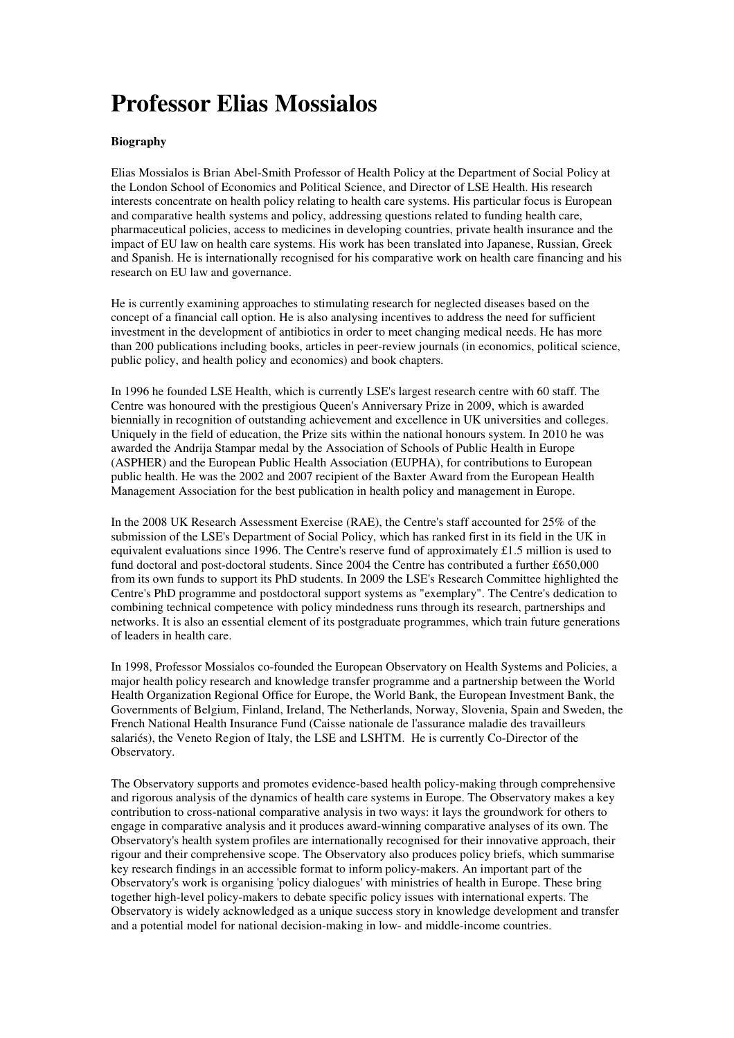# **Professor Elias Mossialos**

## **Biography**

Elias Mossialos is Brian Abel-Smith Professor of Health Policy at the Department of Social Policy at the London School of Economics and Political Science, and Director of LSE Health. His research interests concentrate on health policy relating to health care systems. His particular focus is European and comparative health systems and policy, addressing questions related to funding health care, pharmaceutical policies, access to medicines in developing countries, private health insurance and the impact of EU law on health care systems. His work has been translated into Japanese, Russian, Greek and Spanish. He is internationally recognised for his comparative work on health care financing and his research on EU law and governance.

He is currently examining approaches to stimulating research for neglected diseases based on the concept of a financial call option. He is also analysing incentives to address the need for sufficient investment in the development of antibiotics in order to meet changing medical needs. He has more than 200 publications including books, articles in peer-review journals (in economics, political science, public policy, and health policy and economics) and book chapters.

In 1996 he founded LSE Health, which is currently LSE's largest research centre with 60 staff. The Centre was honoured with the prestigious Queen's Anniversary Prize in 2009, which is awarded biennially in recognition of outstanding achievement and excellence in UK universities and colleges. Uniquely in the field of education, the Prize sits within the national honours system. In 2010 he was awarded the Andrija Stampar medal by the Association of Schools of Public Health in Europe (ASPHER) and the European Public Health Association (EUPHA), for contributions to European public health. He was the 2002 and 2007 recipient of the Baxter Award from the European Health Management Association for the best publication in health policy and management in Europe.

In the 2008 UK Research Assessment Exercise (RAE), the Centre's staff accounted for 25% of the submission of the LSE's Department of Social Policy, which has ranked first in its field in the UK in equivalent evaluations since 1996. The Centre's reserve fund of approximately £1.5 million is used to fund doctoral and post-doctoral students. Since 2004 the Centre has contributed a further £650,000 from its own funds to support its PhD students. In 2009 the LSE's Research Committee highlighted the Centre's PhD programme and postdoctoral support systems as "exemplary". The Centre's dedication to combining technical competence with policy mindedness runs through its research, partnerships and networks. It is also an essential element of its postgraduate programmes, which train future generations of leaders in health care.

In 1998, Professor Mossialos co-founded the European Observatory on Health Systems and Policies, a major health policy research and knowledge transfer programme and a partnership between the World Health Organization Regional Office for Europe, the World Bank, the European Investment Bank, the Governments of Belgium, Finland, Ireland, The Netherlands, Norway, Slovenia, Spain and Sweden, the French National Health Insurance Fund (Caisse nationale de l'assurance maladie des travailleurs salariés), the Veneto Region of Italy, the LSE and LSHTM. He is currently Co-Director of the Observatory.

The Observatory supports and promotes evidence-based health policy-making through comprehensive and rigorous analysis of the dynamics of health care systems in Europe. The Observatory makes a key contribution to cross-national comparative analysis in two ways: it lays the groundwork for others to engage in comparative analysis and it produces award-winning comparative analyses of its own. The Observatory's health system profiles are internationally recognised for their innovative approach, their rigour and their comprehensive scope. The Observatory also produces policy briefs, which summarise key research findings in an accessible format to inform policy-makers. An important part of the Observatory's work is organising 'policy dialogues' with ministries of health in Europe. These bring together high-level policy-makers to debate specific policy issues with international experts. The Observatory is widely acknowledged as a unique success story in knowledge development and transfer and a potential model for national decision-making in low- and middle-income countries.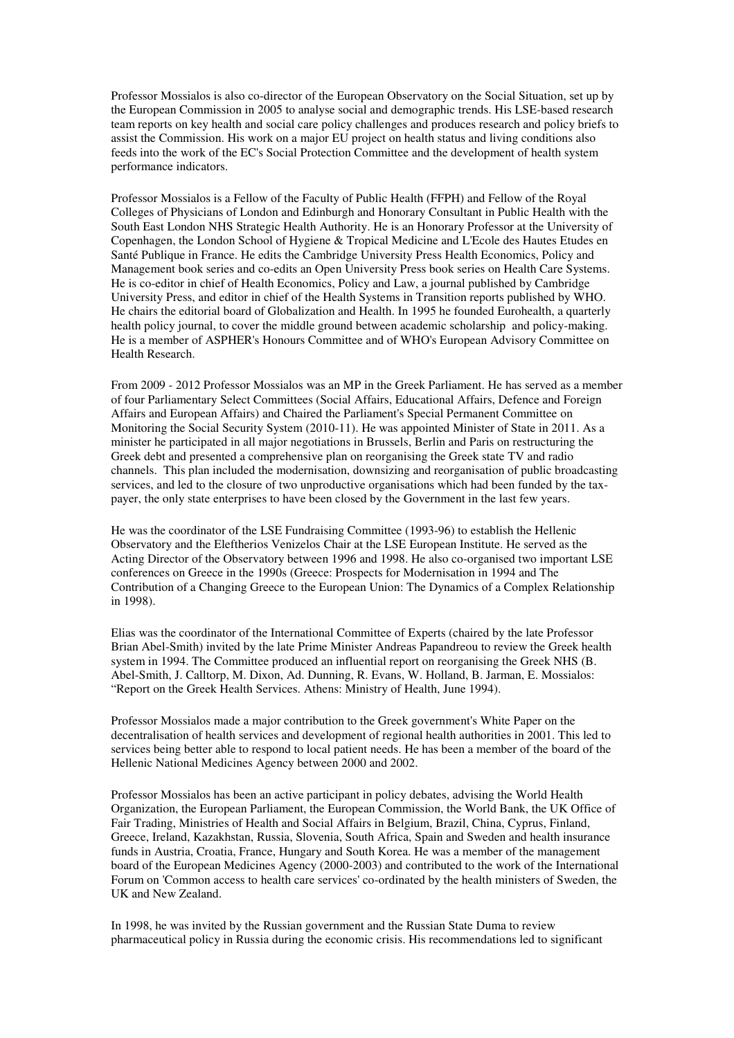Professor Mossialos is also co-director of the European Observatory on the Social Situation, set up by the European Commission in 2005 to analyse social and demographic trends. His LSE-based research team reports on key health and social care policy challenges and produces research and policy briefs to assist the Commission. His work on a major EU project on health status and living conditions also feeds into the work of the EC's Social Protection Committee and the development of health system performance indicators.

Professor Mossialos is a Fellow of the Faculty of Public Health (FFPH) and Fellow of the Royal Colleges of Physicians of London and Edinburgh and Honorary Consultant in Public Health with the South East London NHS Strategic Health Authority. He is an Honorary Professor at the University of Copenhagen, the London School of Hygiene & Tropical Medicine and L'Ecole des Hautes Etudes en Santé Publique in France. He edits the Cambridge University Press Health Economics, Policy and Management book series and co-edits an Open University Press book series on Health Care Systems. He is co-editor in chief of Health Economics, Policy and Law, a journal published by Cambridge University Press, and editor in chief of the Health Systems in Transition reports published by WHO. He chairs the editorial board of Globalization and Health. In 1995 he founded Eurohealth, a quarterly health policy journal, to cover the middle ground between academic scholarship and policy-making. He is a member of ASPHER's Honours Committee and of WHO's European Advisory Committee on Health Research.

From 2009 - 2012 Professor Mossialos was an MP in the Greek Parliament. He has served as a member of four Parliamentary Select Committees (Social Affairs, Educational Affairs, Defence and Foreign Affairs and European Affairs) and Chaired the Parliament's Special Permanent Committee on Monitoring the Social Security System (2010-11). He was appointed Minister of State in 2011. As a minister he participated in all major negotiations in Brussels, Berlin and Paris on restructuring the Greek debt and presented a comprehensive plan on reorganising the Greek state TV and radio channels. This plan included the modernisation, downsizing and reorganisation of public broadcasting services, and led to the closure of two unproductive organisations which had been funded by the taxpayer, the only state enterprises to have been closed by the Government in the last few years.

He was the coordinator of the LSE Fundraising Committee (1993-96) to establish the Hellenic Observatory and the Eleftherios Venizelos Chair at the LSE European Institute. He served as the Acting Director of the Observatory between 1996 and 1998. He also co-organised two important LSE conferences on Greece in the 1990s (Greece: Prospects for Modernisation in 1994 and The Contribution of a Changing Greece to the European Union: The Dynamics of a Complex Relationship in 1998).

Elias was the coordinator of the International Committee of Experts (chaired by the late Professor Brian Abel-Smith) invited by the late Prime Minister Andreas Papandreou to review the Greek health system in 1994. The Committee produced an influential report on reorganising the Greek NHS (B. Abel-Smith, J. Calltorp, M. Dixon, Ad. Dunning, R. Evans, W. Holland, B. Jarman, E. Mossialos: "Report on the Greek Health Services. Athens: Ministry of Health, June 1994).

Professor Mossialos made a major contribution to the Greek government's White Paper on the decentralisation of health services and development of regional health authorities in 2001. This led to services being better able to respond to local patient needs. He has been a member of the board of the Hellenic National Medicines Agency between 2000 and 2002.

Professor Mossialos has been an active participant in policy debates, advising the World Health Organization, the European Parliament, the European Commission, the World Bank, the UK Office of Fair Trading, Ministries of Health and Social Affairs in Belgium, Brazil, China, Cyprus, Finland, Greece, Ireland, Kazakhstan, Russia, Slovenia, South Africa, Spain and Sweden and health insurance funds in Austria, Croatia, France, Hungary and South Korea. He was a member of the management board of the European Medicines Agency (2000-2003) and contributed to the work of the International Forum on 'Common access to health care services' co-ordinated by the health ministers of Sweden, the UK and New Zealand.

In 1998, he was invited by the Russian government and the Russian State Duma to review pharmaceutical policy in Russia during the economic crisis. His recommendations led to significant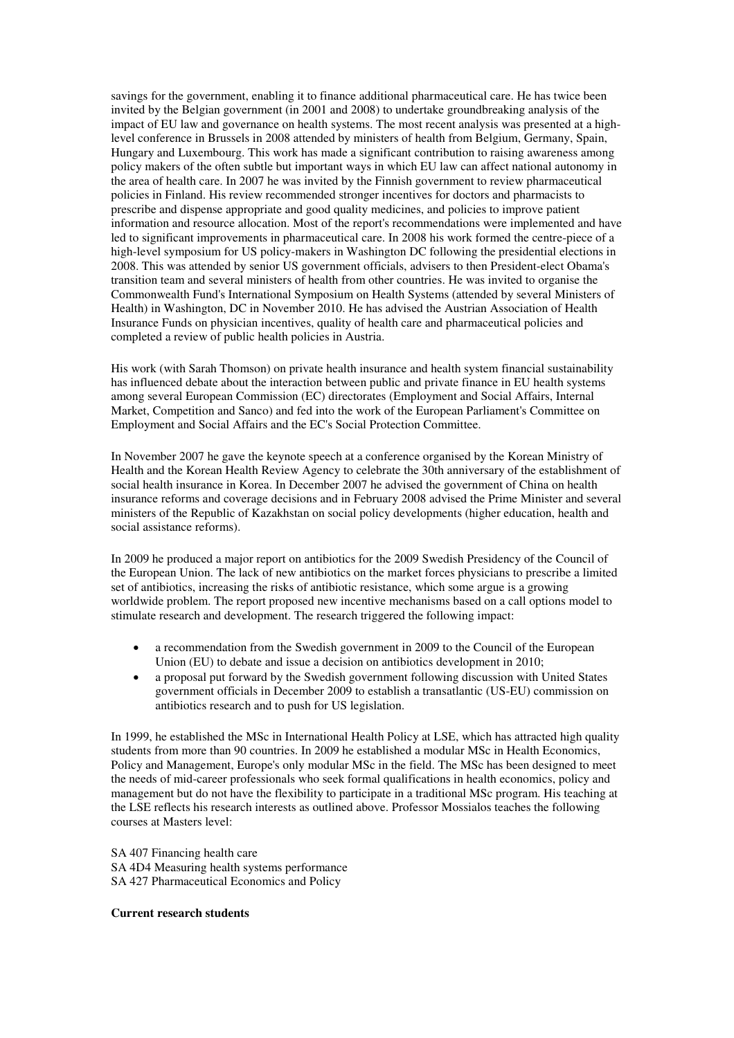savings for the government, enabling it to finance additional pharmaceutical care. He has twice been invited by the Belgian government (in 2001 and 2008) to undertake groundbreaking analysis of the impact of EU law and governance on health systems. The most recent analysis was presented at a highlevel conference in Brussels in 2008 attended by ministers of health from Belgium, Germany, Spain, Hungary and Luxembourg. This work has made a significant contribution to raising awareness among policy makers of the often subtle but important ways in which EU law can affect national autonomy in the area of health care. In 2007 he was invited by the Finnish government to review pharmaceutical policies in Finland. His review recommended stronger incentives for doctors and pharmacists to prescribe and dispense appropriate and good quality medicines, and policies to improve patient information and resource allocation. Most of the report's recommendations were implemented and have led to significant improvements in pharmaceutical care. In 2008 his work formed the centre-piece of a high-level symposium for US policy-makers in Washington DC following the presidential elections in 2008. This was attended by senior US government officials, advisers to then President-elect Obama's transition team and several ministers of health from other countries. He was invited to organise the Commonwealth Fund's International Symposium on Health Systems (attended by several Ministers of Health) in Washington, DC in November 2010. He has advised the Austrian Association of Health Insurance Funds on physician incentives, quality of health care and pharmaceutical policies and completed a review of public health policies in Austria.

His work (with Sarah Thomson) on private health insurance and health system financial sustainability has influenced debate about the interaction between public and private finance in EU health systems among several European Commission (EC) directorates (Employment and Social Affairs, Internal Market, Competition and Sanco) and fed into the work of the European Parliament's Committee on Employment and Social Affairs and the EC's Social Protection Committee.

In November 2007 he gave the keynote speech at a conference organised by the Korean Ministry of Health and the Korean Health Review Agency to celebrate the 30th anniversary of the establishment of social health insurance in Korea. In December 2007 he advised the government of China on health insurance reforms and coverage decisions and in February 2008 advised the Prime Minister and several ministers of the Republic of Kazakhstan on social policy developments (higher education, health and social assistance reforms).

In 2009 he produced a major report on antibiotics for the 2009 Swedish Presidency of the Council of the European Union. The lack of new antibiotics on the market forces physicians to prescribe a limited set of antibiotics, increasing the risks of antibiotic resistance, which some argue is a growing worldwide problem. The report proposed new incentive mechanisms based on a call options model to stimulate research and development. The research triggered the following impact:

- a recommendation from the Swedish government in 2009 to the Council of the European Union (EU) to debate and issue a decision on antibiotics development in 2010;
- a proposal put forward by the Swedish government following discussion with United States government officials in December 2009 to establish a transatlantic (US-EU) commission on antibiotics research and to push for US legislation.

In 1999, he established the MSc in International Health Policy at LSE, which has attracted high quality students from more than 90 countries. In 2009 he established a modular MSc in Health Economics, Policy and Management, Europe's only modular MSc in the field. The MSc has been designed to meet the needs of mid-career professionals who seek formal qualifications in health economics, policy and management but do not have the flexibility to participate in a traditional MSc program. His teaching at the LSE reflects his research interests as outlined above. Professor Mossialos teaches the following courses at Masters level:

SA 407 Financing health care SA 4D4 Measuring health systems performance SA 427 Pharmaceutical Economics and Policy

#### **Current research students**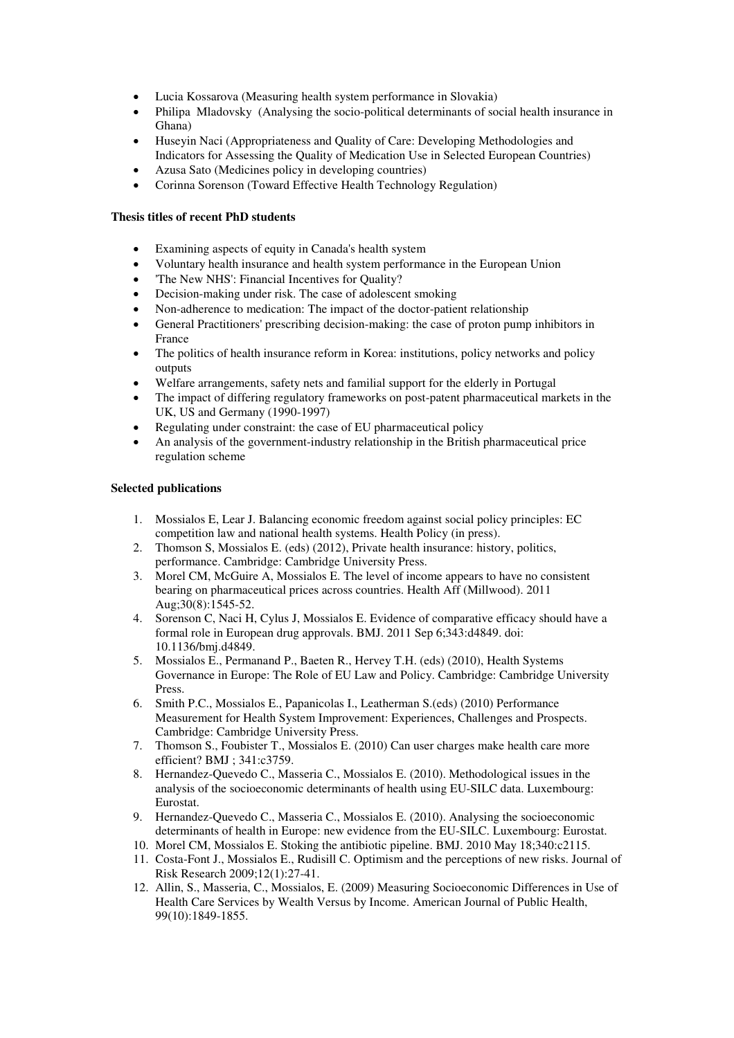- Lucia Kossarova (Measuring health system performance in Slovakia)
- Philipa Mladovsky (Analysing the socio-political determinants of social health insurance in Ghana)
- Huseyin Naci (Appropriateness and Quality of Care: Developing Methodologies and Indicators for Assessing the Quality of Medication Use in Selected European Countries)
- Azusa Sato (Medicines policy in developing countries)
- Corinna Sorenson (Toward Effective Health Technology Regulation)

# **Thesis titles of recent PhD students**

- Examining aspects of equity in Canada's health system
- Voluntary health insurance and health system performance in the European Union
- 'The New NHS': Financial Incentives for Quality?
- Decision-making under risk. The case of adolescent smoking
- Non-adherence to medication: The impact of the doctor-patient relationship
- General Practitioners' prescribing decision-making: the case of proton pump inhibitors in France
- The politics of health insurance reform in Korea: institutions, policy networks and policy outputs
- Welfare arrangements, safety nets and familial support for the elderly in Portugal
- The impact of differing regulatory frameworks on post-patent pharmaceutical markets in the UK, US and Germany (1990-1997)
- Regulating under constraint: the case of EU pharmaceutical policy
- An analysis of the government-industry relationship in the British pharmaceutical price regulation scheme

## **Selected publications**

- 1. Mossialos E, Lear J. Balancing economic freedom against social policy principles: EC competition law and national health systems. Health Policy (in press).
- 2. Thomson S, Mossialos E. (eds) (2012), Private health insurance: history, politics, performance. Cambridge: Cambridge University Press.
- 3. Morel CM, McGuire A, Mossialos E. The level of income appears to have no consistent bearing on pharmaceutical prices across countries. Health Aff (Millwood). 2011 Aug;30(8):1545-52.
- 4. Sorenson C, Naci H, Cylus J, Mossialos E. Evidence of comparative efficacy should have a formal role in European drug approvals. BMJ. 2011 Sep 6;343:d4849. doi: 10.1136/bmj.d4849.
- 5. Mossialos E., Permanand P., Baeten R., Hervey T.H. (eds) (2010), Health Systems Governance in Europe: The Role of EU Law and Policy. Cambridge: Cambridge University Press.
- 6. Smith P.C., Mossialos E., Papanicolas I., Leatherman S.(eds) (2010) Performance Measurement for Health System Improvement: Experiences, Challenges and Prospects. Cambridge: Cambridge University Press.
- 7. Thomson S., Foubister T., Mossialos E. (2010) Can user charges make health care more efficient? BMJ ; 341:c3759.
- 8. Hernandez-Quevedo C., Masseria C., Mossialos E. (2010). Methodological issues in the analysis of the socioeconomic determinants of health using EU-SILC data. Luxembourg: Eurostat.
- 9. Hernandez-Quevedo C., Masseria C., Mossialos E. (2010). Analysing the socioeconomic determinants of health in Europe: new evidence from the EU-SILC. Luxembourg: Eurostat.
- 10. Morel CM, Mossialos E. Stoking the antibiotic pipeline. BMJ. 2010 May 18;340:c2115.
- 11. Costa-Font J., Mossialos E., Rudisill C. Optimism and the perceptions of new risks. Journal of Risk Research 2009;12(1):27-41.
- 12. Allin, S., Masseria, C., Mossialos, E. (2009) Measuring Socioeconomic Differences in Use of Health Care Services by Wealth Versus by Income. American Journal of Public Health, 99(10):1849-1855.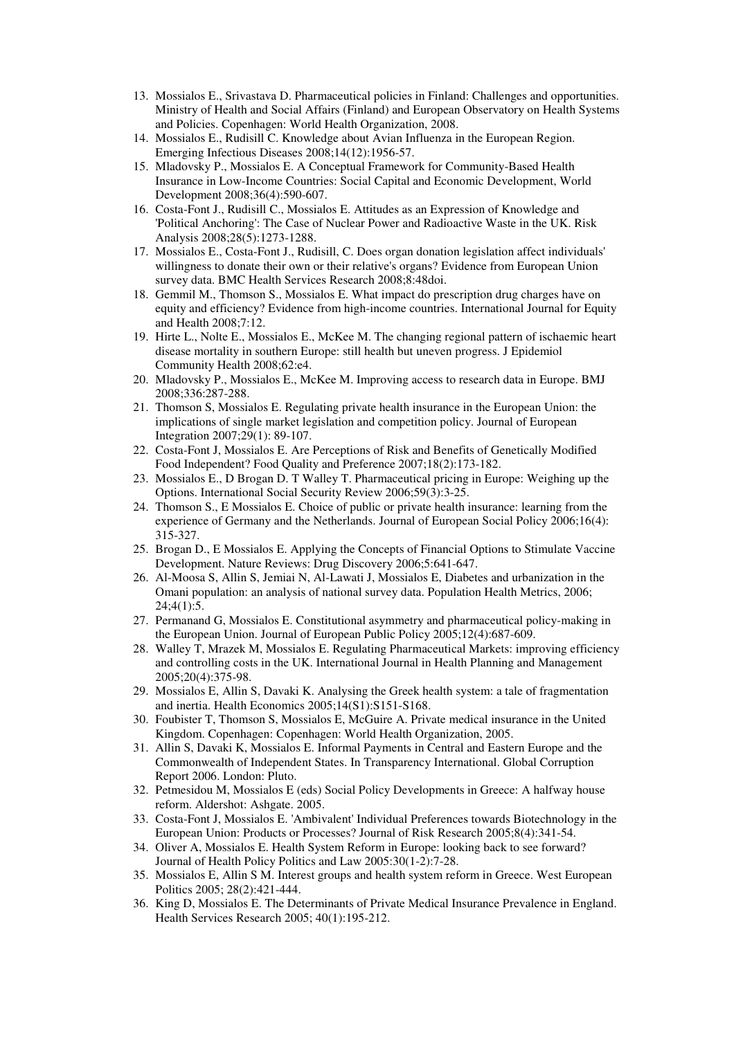- 13. Mossialos E., Srivastava D. Pharmaceutical policies in Finland: Challenges and opportunities. Ministry of Health and Social Affairs (Finland) and European Observatory on Health Systems and Policies. Copenhagen: World Health Organization, 2008.
- 14. Mossialos E., Rudisill C. Knowledge about Avian Influenza in the European Region. Emerging Infectious Diseases 2008;14(12):1956-57.
- 15. Mladovsky P., Mossialos E. A Conceptual Framework for Community-Based Health Insurance in Low-Income Countries: Social Capital and Economic Development, World Development 2008;36(4):590-607.
- 16. Costa-Font J., Rudisill C., Mossialos E. Attitudes as an Expression of Knowledge and 'Political Anchoring': The Case of Nuclear Power and Radioactive Waste in the UK. Risk Analysis 2008;28(5):1273-1288.
- 17. Mossialos E., Costa-Font J., Rudisill, C. Does organ donation legislation affect individuals' willingness to donate their own or their relative's organs? Evidence from European Union survey data. BMC Health Services Research 2008;8:48doi.
- 18. Gemmil M., Thomson S., Mossialos E. What impact do prescription drug charges have on equity and efficiency? Evidence from high-income countries. International Journal for Equity and Health 2008;7:12.
- 19. Hirte L., Nolte E., Mossialos E., McKee M. The changing regional pattern of ischaemic heart disease mortality in southern Europe: still health but uneven progress. J Epidemiol Community Health 2008;62:e4.
- 20. Mladovsky P., Mossialos E., McKee M. Improving access to research data in Europe. BMJ 2008;336:287-288.
- 21. Thomson S, Mossialos E. Regulating private health insurance in the European Union: the implications of single market legislation and competition policy. Journal of European Integration 2007;29(1): 89-107.
- 22. Costa-Font J, Mossialos E. Are Perceptions of Risk and Benefits of Genetically Modified Food Independent? Food Quality and Preference 2007;18(2):173-182.
- 23. Mossialos E., D Brogan D. T Walley T. Pharmaceutical pricing in Europe: Weighing up the Options. International Social Security Review 2006;59(3):3-25.
- 24. Thomson S., E Mossialos E. Choice of public or private health insurance: learning from the experience of Germany and the Netherlands. Journal of European Social Policy 2006;16(4): 315-327.
- 25. Brogan D., E Mossialos E. Applying the Concepts of Financial Options to Stimulate Vaccine Development. Nature Reviews: Drug Discovery 2006;5:641-647.
- 26. Al-Moosa S, Allin S, Jemiai N, Al-Lawati J, Mossialos E, Diabetes and urbanization in the Omani population: an analysis of national survey data. Population Health Metrics, 2006;  $24;4(1):5.$
- 27. Permanand G, Mossialos E. Constitutional asymmetry and pharmaceutical policy-making in the European Union. Journal of European Public Policy 2005;12(4):687-609.
- 28. Walley T, Mrazek M, Mossialos E. Regulating Pharmaceutical Markets: improving efficiency and controlling costs in the UK. International Journal in Health Planning and Management 2005;20(4):375-98.
- 29. Mossialos E, Allin S, Davaki K. Analysing the Greek health system: a tale of fragmentation and inertia. Health Economics 2005;14(S1):S151-S168.
- 30. Foubister T, Thomson S, Mossialos E, McGuire A. Private medical insurance in the United Kingdom. Copenhagen: Copenhagen: World Health Organization, 2005.
- 31. Allin S, Davaki K, Mossialos E. Informal Payments in Central and Eastern Europe and the Commonwealth of Independent States. In Transparency International. Global Corruption Report 2006. London: Pluto.
- 32. Petmesidou M, Mossialos E (eds) Social Policy Developments in Greece: A halfway house reform. Aldershot: Ashgate. 2005.
- 33. Costa-Font J, Mossialos E. 'Ambivalent' Individual Preferences towards Biotechnology in the European Union: Products or Processes? Journal of Risk Research 2005;8(4):341-54.
- 34. Oliver A, Mossialos E. Health System Reform in Europe: looking back to see forward? Journal of Health Policy Politics and Law 2005:30(1-2):7-28.
- 35. Mossialos E, Allin S M. Interest groups and health system reform in Greece. West European Politics 2005; 28(2):421-444.
- 36. King D, Mossialos E. The Determinants of Private Medical Insurance Prevalence in England. Health Services Research 2005; 40(1):195-212.